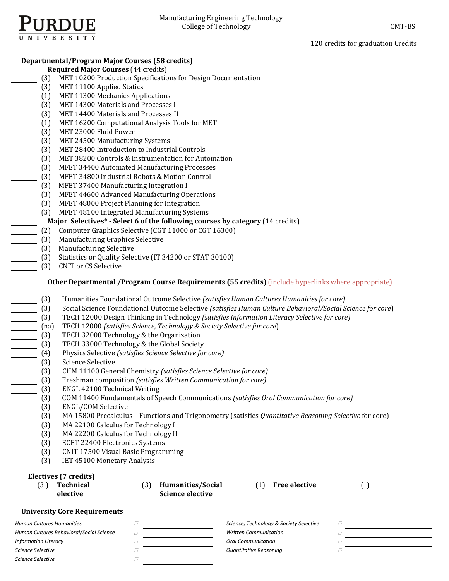

120 credits for graduation Credits

# **Departmental/Program Major Courses (58 credits)**

- **Required Major Courses** (44 credits)
	- (3) MET 10200 Production Specifications for Design Documentation
- [3] MET 11100 Applied Statics
- (1) MET 11300 Mechanics Applications
- (3) MET 14300 Materials and Processes I
- (3) MET 14400 Materials and Processes II
- (1) MET 16200 Computational Analysis Tools for MET<br>(3) MET 23000 Fluid Power<br>(3) MET 24500 Manufacturing Systems<br>(3) MET 28400 Introduction to Industrial Controls
- MET 23000 Fluid Power
- MET 24500 Manufacturing Systems
- MET 28400 Introduction to Industrial Controls
- (3) MET 38200 Controls & Instrumentation for Automation
- (3) MFET 34400 Automated Manufacturing Processes
- (3) MFET 34800 Industrial Robots & Motion Control
- (3) MFET 37400 Manufacturing Integration I
- (3) MFET 44600 Advanced Manufacturing Operations
- (3) MFET 48000 Project Planning for Integration
	- (3) MFET 48100 Integrated Manufacturing Systems

# **Major** Selectives\* - Select 6 of the following courses by category (14 credits)

- (2) Computer Graphics Selective (CGT 11000 or CGT 16300)
- (3) Manufacturing Graphics Selective
- (3) Manufacturing Selective
- (3) Statistics or Quality Selective (IT 34200 or STAT 30100)
	- (3) CNIT or CS Selective

## **Other Departmental /Program Course Requirements (55 credits) (include hyperlinks where appropriate)**

- (3) Humanities Foundational Outcome Selective *(satisfies Human Cultures Humanities for core)*
- (3) Social Science Foundational Outcome Selective *(satisfies Human Culture Behavioral/Social Science for core*)
- (3) TECH 12000 Design Thinking in Technology *(satisfies Information Literacy Selective for core)*
- (na) TECH 12000 *(satisfies Science, Technology & Society Selective for core*)
- 
- (3) TECH 32000 Technology & the Organization<br>(3) TECH 33000 Technology & the Global Society
- (4) Physics Selective *(satisfies Science Selective for core)*
- Science Selective
- (3) TECH 33000 Technology & the Global Society<br>
(4) Physics Selective (*satisfies Science Selective for*<br>
(3) Science Selective<br>
(3) CHM 11100 General Chemistry (*satisfies Scien*<br>
(3) Freshman composition (*satisfies Writ*  (3) CHM 11100 General Chemistry *(satisfies Science Selective for core)*
	- (3) Freshman composition *(satisfies Written Communication for core)*
	-
- (3) ENGL 42100 Technical Writing<br>
(3) COM 11400 Fundamentals of Sp<br>
(3) ENGL/COM Selective<br>
(3) MA 15800 Precalculus Functio<br>
(3) MA 22100 Calculus for Technol<br>
(3) MA 22200 Calculus for Technol<br>
(3) ECET 22400 Electroni (3) COM 11400 Fundamentals of Speech Communications *(satisfies Oral Communication for core)*
- ENGL/COM Selective
- (3) MA 15800 Precalculus – Functions and Trigonometry (satisfies *Quantitative Reasoning Selective* for core)
- MA 22100 Calculus for Technology I
- MA 22200 Calculus for Technology II
- ECET 22400 Electronics Systems
- (3) CNIT 17500 Visual Basic Programming
	- (3) IET 45100 Monetary Analysis

# **Electives (7 credits)**

| Technical | Humanities/Social       | Free elective |  |
|-----------|-------------------------|---------------|--|
| elective  | <b>Science elective</b> |               |  |
|           |                         |               |  |

## **University Core Requirements**

| Human Cultures Humanities                | Science, Technology & Society Selective |  |
|------------------------------------------|-----------------------------------------|--|
| Human Cultures Behavioral/Social Science | <b>Written Communication</b>            |  |
| <b>Information Literacy</b>              | <b>Oral Communication</b>               |  |
| Science Selective                        | Quantitative Reasoning                  |  |
| Science Selective                        |                                         |  |
|                                          |                                         |  |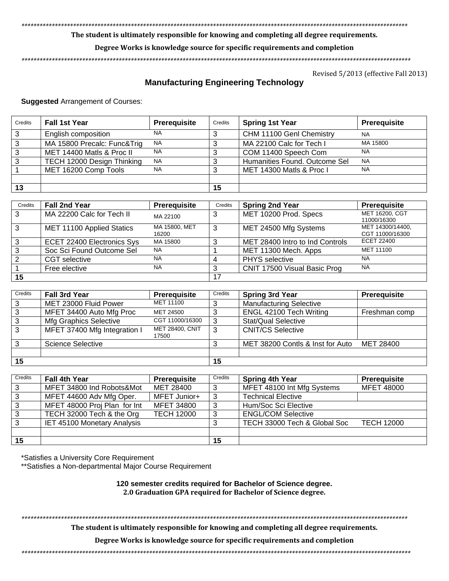*\*\*\*\*\*\*\*\*\*\*\*\*\*\*\*\*\*\*\*\*\*\*\*\*\*\*\*\*\*\*\*\*\*\*\*\*\*\*\*\*\*\*\*\*\*\*\*\*\*\*\*\*\*\*\*\*\*\*\*\*\*\*\*\*\*\*\*\*\*\*\*\*\*\*\*\*\*\*\*\*\*\*\*\*\*\*\*\*\*\*\*\*\*\*\*\*\*\*\*\*\*\*\*\*\*\*\*\*\*\*\*\*\*\*\*\*\*\*\*\*\*\*\*\*\*\*\**

**The student is ultimately responsible for knowing and completing all degree requirements.** 

## **Degree Works is knowledge source for specific requirements and completion**

*\*\*\*\*\*\*\*\*\*\*\*\*\*\*\*\*\*\*\*\*\*\*\*\*\*\*\*\*\*\*\*\*\*\*\*\*\*\*\*\*\*\*\*\*\*\*\*\*\*\*\*\*\*\*\*\*\*\*\*\*\*\*\*\*\*\*\*\*\*\*\*\*\*\*\*\*\*\*\*\*\*\*\*\*\*\*\*\*\*\*\*\*\*\*\*\*\*\*\*\*\*\*\*\*\*\*\*\*\*\*\*\*\*\*\*\*\*\*\*\*\*\*\*\*\*\*\*\**

Revised 5/2013 (effective Fall 2013)

# **Manufacturing Engineering Technology**

**Suggested** Arrangement of Courses:

| Credits | <b>Fall 1st Year</b>        | <b>Prerequisite</b> | Credits | <b>Spring 1st Year</b>        | <b>Prerequisite</b> |
|---------|-----------------------------|---------------------|---------|-------------------------------|---------------------|
| 3       | English composition         | <b>NA</b>           | 3       | CHM 11100 Genl Chemistry      | <b>NA</b>           |
| 3       | MA 15800 Precalc: Func&Trig | <b>NA</b>           | າ       | MA 22100 Calc for Tech I      | MA 15800            |
|         | MET 14400 Matls & Proc II   | <b>NA</b>           |         | COM 11400 Speech Com          | <b>NA</b>           |
|         | TECH 12000 Design Thinking  | <b>NA</b>           |         | Humanities Found. Outcome Sel | <b>NA</b>           |
|         | MET 16200 Comp Tools        | <b>NA</b>           | 3       | MET 14300 Matls & Proc I      | <b>NA</b>           |
|         |                             |                     |         |                               |                     |
| 13      |                             |                     | 15      |                               |                     |

| Credits       | <b>Fall 2nd Year</b>       | <b>Prerequisite</b>    | Credits | <b>Spring 2nd Year</b>          | <b>Prerequisite</b>                 |
|---------------|----------------------------|------------------------|---------|---------------------------------|-------------------------------------|
| 3             | MA 22200 Calc for Tech II  | MA 22100               | 3       | MET 10200 Prod. Specs           | MET 16200, CGT<br>11000/16300       |
| 3             | MET 11100 Applied Statics  | MA 15800, MET<br>16200 | 3       | MET 24500 Mfg Systems           | MET 14300/14400,<br>CGT 11000/16300 |
| 3             | ECET 22400 Electronics Sys | MA 15800               | ີ       | MET 28400 Intro to Ind Controls | ECET 22400                          |
| 3             | Soc Sci Found Outcome Sel  | <b>NA</b>              |         | MET 11300 Mech. Apps            | MET 11100                           |
| $\mathcal{P}$ | CGT selective              | <b>NA</b>              |         | <b>PHYS</b> selective           | <b>NA</b>                           |
|               | Free elective              | <b>NA</b>              | າ       | CNIT 17500 Visual Basic Prog    | <b>NA</b>                           |
| 15            |                            |                        | 17      |                                 |                                     |

| Credits | <b>Fall 3rd Year</b>         | Prerequisite                    | Credits | <b>Spring 3rd Year</b>           | Prerequisite  |
|---------|------------------------------|---------------------------------|---------|----------------------------------|---------------|
| 3       | MET 23000 Fluid Power        | MET 11100                       |         | <b>Manufacturing Selective</b>   |               |
| 3       | MFET 34400 Auto Mfg Proc     | MET 24500                       |         | ENGL 42100 Tech Writing          | Freshman comp |
|         | Mfg Graphics Selective       | CGT 11000/16300                 | 3       | <b>Stat/Qual Selective</b>       |               |
| 3       | MFET 37400 Mfg Integration I | <b>MET 28400, CNIT</b><br>17500 | -3      | <b>CNIT/CS Selective</b>         |               |
| 3       | <b>Science Selective</b>     |                                 |         | MET 38200 Contls & Inst for Auto | MET 28400     |
|         |                              |                                 |         |                                  |               |
| 15      |                              |                                 | 15      |                                  |               |

| Credits | <b>Fall 4th Year</b>               | Prerequisite      | Credits | <b>Spring 4th Year</b>       | Prerequisite      |
|---------|------------------------------------|-------------------|---------|------------------------------|-------------------|
| 3       | MFET 34800 Ind Robots&Mot          | MET 28400         | 3       | MFET 48100 Int Mfg Systems   | <b>MFET 48000</b> |
|         | MFET 44600 Adv Mfg Oper.           | MFET Junior+      | -3      | <b>Technical Elective</b>    |                   |
| 3       | MFET 48000 Proj Plan for Int       | <b>MFET 34800</b> | -3      | Hum/Soc Sci Elective         |                   |
| 3       | TECH 32000 Tech & the Org          | <b>TECH 12000</b> | 3       | <b>ENGL/COM Selective</b>    |                   |
| 3       | <b>IET 45100 Monetary Analysis</b> |                   | 3       | TECH 33000 Tech & Global Soc | <b>TECH 12000</b> |
|         |                                    |                   |         |                              |                   |
| 15      |                                    |                   | 15      |                              |                   |

\*Satisfies a University Core Requirement

\*\*Satisfies a Non-departmental Major Course Requirement

**120 semester credits required for Bachelor of Science degree. 2.0 Graduation GPA required for Bachelor of Science degree.**

*\*\*\*\*\*\*\*\*\*\*\*\*\*\*\*\*\*\*\*\*\*\*\*\*\*\*\*\*\*\*\*\*\*\*\*\*\*\*\*\*\*\*\*\*\*\*\*\*\*\*\*\*\*\*\*\*\*\*\*\*\*\*\*\*\*\*\*\*\*\*\*\*\*\*\*\*\*\*\*\*\*\*\*\*\*\*\*\*\*\*\*\*\*\*\*\*\*\*\*\*\*\*\*\*\*\*\*\*\*\*\*\*\*\*\*\*\*\*\*\*\*\*\*\*\*\*\**

**The student is ultimately responsible for knowing and completing all degree requirements.** 

**Degree Works is knowledge source for specific requirements and completion**

*\*\*\*\*\*\*\*\*\*\*\*\*\*\*\*\*\*\*\*\*\*\*\*\*\*\*\*\*\*\*\*\*\*\*\*\*\*\*\*\*\*\*\*\*\*\*\*\*\*\*\*\*\*\*\*\*\*\*\*\*\*\*\*\*\*\*\*\*\*\*\*\*\*\*\*\*\*\*\*\*\*\*\*\*\*\*\*\*\*\*\*\*\*\*\*\*\*\*\*\*\*\*\*\*\*\*\*\*\*\*\*\*\*\*\*\*\*\*\*\*\*\*\*\*\*\*\*\**